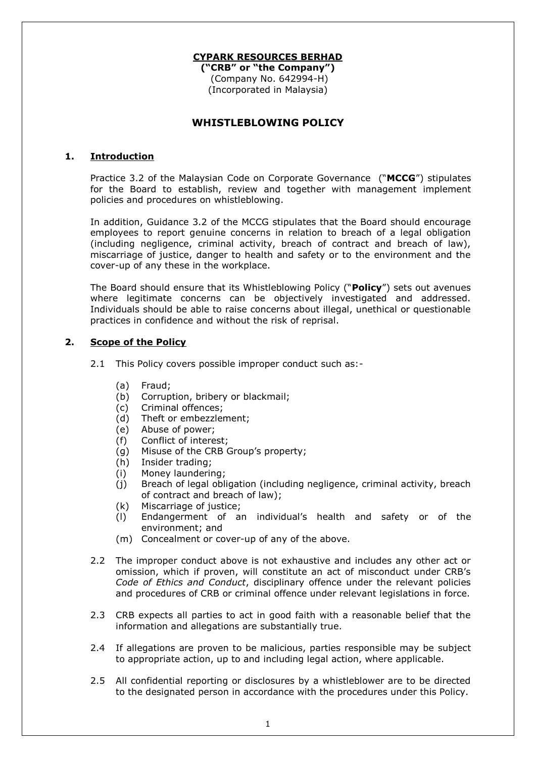### **CYPARK RESOURCES BERHAD**

**("CRB" or "the Company")** (Company No. 642994-H) (Incorporated in Malaysia)

# **WHISTLEBLOWING POLICY**

#### **1. Introduction**

Practice 3.2 of the Malaysian Code on Corporate Governance ("**MCCG**") stipulates for the Board to establish, review and together with management implement policies and procedures on whistleblowing.

In addition, Guidance 3.2 of the MCCG stipulates that the Board should encourage employees to report genuine concerns in relation to breach of a legal obligation (including negligence, criminal activity, breach of contract and breach of law), miscarriage of justice, danger to health and safety or to the environment and the cover-up of any these in the workplace.

The Board should ensure that its Whistleblowing Policy ("**Policy**") sets out avenues where legitimate concerns can be objectively investigated and addressed. Individuals should be able to raise concerns about illegal, unethical or questionable practices in confidence and without the risk of reprisal.

## **2. Scope of the Policy**

- 2.1 This Policy covers possible improper conduct such as:-
	- (a) Fraud;
	- (b) Corruption, bribery or blackmail;
	- (c) Criminal offences;
	- (d) Theft or embezzlement;
	- (e) Abuse of power;
	- (f) Conflict of interest;
	- (g) Misuse of the CRB Group's property;
	- (h) Insider trading;
	- (i) Money laundering;
	- (j) Breach of legal obligation (including negligence, criminal activity, breach of contract and breach of law);
	- (k) Miscarriage of justice;
	- (l) Endangerment of an individual's health and safety or of the environment; and
	- (m) Concealment or cover-up of any of the above.
- 2.2 The improper conduct above is not exhaustive and includes any other act or omission, which if proven, will constitute an act of misconduct under CRB's *Code of Ethics and Conduct*, disciplinary offence under the relevant policies and procedures of CRB or criminal offence under relevant legislations in force.
- 2.3 CRB expects all parties to act in good faith with a reasonable belief that the information and allegations are substantially true.
- 2.4 If allegations are proven to be malicious, parties responsible may be subject to appropriate action, up to and including legal action, where applicable.
- 2.5 All confidential reporting or disclosures by a whistleblower are to be directed to the designated person in accordance with the procedures under this Policy.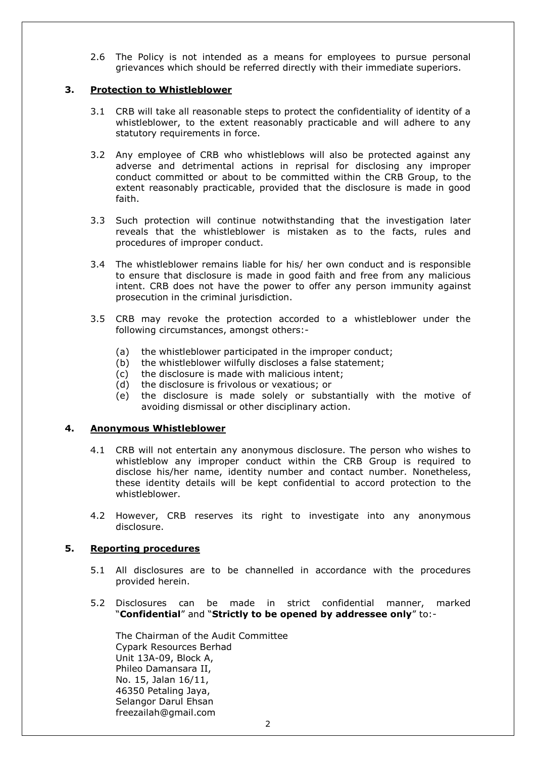2.6 The Policy is not intended as a means for employees to pursue personal grievances which should be referred directly with their immediate superiors.

### **3. Protection to Whistleblower**

- 3.1 CRB will take all reasonable steps to protect the confidentiality of identity of a whistleblower, to the extent reasonably practicable and will adhere to any statutory requirements in force.
- 3.2 Any employee of CRB who whistleblows will also be protected against any adverse and detrimental actions in reprisal for disclosing any improper conduct committed or about to be committed within the CRB Group, to the extent reasonably practicable, provided that the disclosure is made in good faith.
- 3.3 Such protection will continue notwithstanding that the investigation later reveals that the whistleblower is mistaken as to the facts, rules and procedures of improper conduct.
- 3.4 The whistleblower remains liable for his/ her own conduct and is responsible to ensure that disclosure is made in good faith and free from any malicious intent. CRB does not have the power to offer any person immunity against prosecution in the criminal jurisdiction.
- 3.5 CRB may revoke the protection accorded to a whistleblower under the following circumstances, amongst others:-
	- (a) the whistleblower participated in the improper conduct;
	- (b) the whistleblower wilfully discloses a false statement;
	- (c) the disclosure is made with malicious intent;
	- (d) the disclosure is frivolous or vexatious; or
	- (e) the disclosure is made solely or substantially with the motive of avoiding dismissal or other disciplinary action.

#### **4. Anonymous Whistleblower**

- 4.1 CRB will not entertain any anonymous disclosure. The person who wishes to whistleblow any improper conduct within the CRB Group is required to disclose his/her name, identity number and contact number. Nonetheless, these identity details will be kept confidential to accord protection to the whistleblower.
- 4.2 However, CRB reserves its right to investigate into any anonymous disclosure.

#### **5. Reporting procedures**

- 5.1 All disclosures are to be channelled in accordance with the procedures provided herein.
- 5.2 Disclosures can be made in strict confidential manner, marked "**Confidential**" and "**Strictly to be opened by addressee only**" to:-

The Chairman of the Audit Committee Cypark Resources Berhad Unit 13A-09, Block A, Phileo Damansara II, No. 15, Jalan 16/11, 46350 Petaling Jaya, Selangor Darul Ehsan freezailah@gmail.com